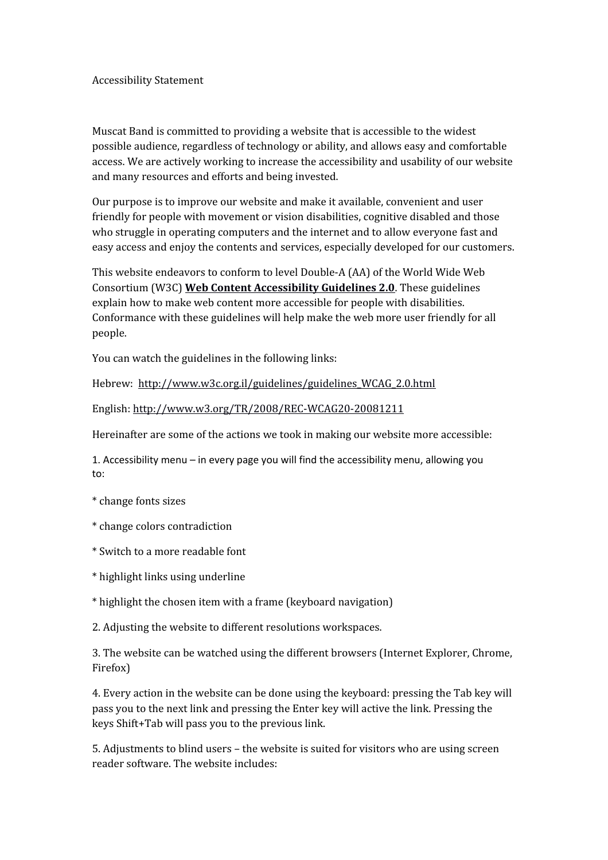Accessibility Statement

Muscat Band is committed to providing a website that is accessible to the widest possible audience, regardless of technology or ability, and allows easy and comfortable access. We are actively working to increase the accessibility and usability of our website and many resources and efforts and being invested.

Our purpose is to improve our website and make it available, convenient and user friendly for people with movement or vision disabilities, cognitive disabled and those who struggle in operating computers and the internet and to allow everyone fast and easy access and enjoy the contents and services, especially developed for our customers.

This website endeavors to conform to level Double-A (AA) of the World Wide Web Consortium (W3C) **[Web Content Accessibility Guidelines 2.0](http://www.w3.org/TR/WCAG20/)**. These guidelines explain how to make web content more accessible for people with disabilities. Conformance with these guidelines will help make the web more user friendly for all people.

You can watch the guidelines in the following links:

Hebrew: [http://www.w3c.org.il/guidelines/guidelines\\_WCAG\\_2.0.html](http://www.w3c.org.il/guidelines/guidelines_WCAG_2.0.html)

English:<http://www.w3.org/TR/2008/REC-WCAG20-20081211>

Hereinafter are some of the actions we took in making our website more accessible:

1. Accessibility menu – in every page you will find the accessibility menu, allowing you to:

- \* change fonts sizes
- \* change colors contradiction
- \* Switch to a more readable font
- \* highlight links using underline
- \* highlight the chosen item with a frame (keyboard navigation)
- 2. Adjusting the website to different resolutions workspaces.

3. The website can be watched using the different browsers (Internet Explorer, Chrome, Firefox)

4. Every action in the website can be done using the keyboard: pressing the Tab key will pass you to the next link and pressing the Enter key will active the link. Pressing the keys Shift+Tab will pass you to the previous link.

5. Adjustments to blind users – the website is suited for visitors who are using screen reader software. The website includes: